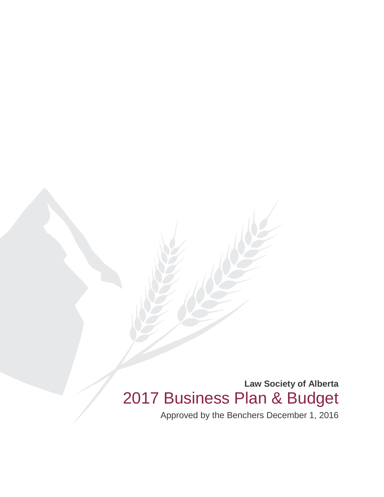**Law Society of Alberta** 2017 Business Plan & Budget

Approved by the Benchers December 1, 2016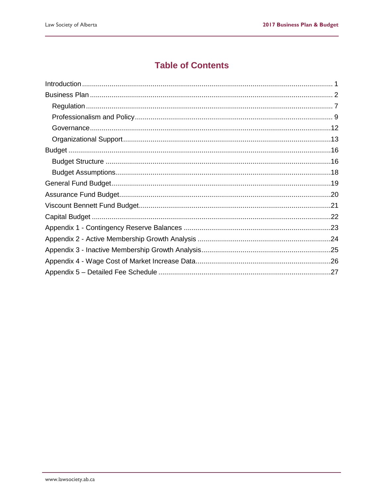### **Table of Contents**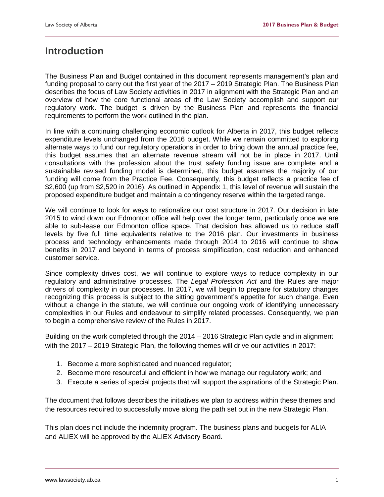### <span id="page-2-0"></span>**Introduction**

The Business Plan and Budget contained in this document represents management's plan and funding proposal to carry out the first year of the 2017 – 2019 Strategic Plan. The Business Plan describes the focus of Law Society activities in 2017 in alignment with the Strategic Plan and an overview of how the core functional areas of the Law Society accomplish and support our regulatory work. The budget is driven by the Business Plan and represents the financial requirements to perform the work outlined in the plan.

In line with a continuing challenging economic outlook for Alberta in 2017, this budget reflects expenditure levels unchanged from the 2016 budget. While we remain committed to exploring alternate ways to fund our regulatory operations in order to bring down the annual practice fee, this budget assumes that an alternate revenue stream will not be in place in 2017. Until consultations with the profession about the trust safety funding issue are complete and a sustainable revised funding model is determined, this budget assumes the majority of our funding will come from the Practice Fee. Consequently, this budget reflects a practice fee of \$2,600 (up from \$2,520 in 2016). As outlined in Appendix 1, this level of revenue will sustain the proposed expenditure budget and maintain a contingency reserve within the targeted range.

We will continue to look for ways to rationalize our cost structure in 2017. Our decision in late 2015 to wind down our Edmonton office will help over the longer term, particularly once we are able to sub-lease our Edmonton office space. That decision has allowed us to reduce staff levels by five full time equivalents relative to the 2016 plan. Our investments in business process and technology enhancements made through 2014 to 2016 will continue to show benefits in 2017 and beyond in terms of process simplification, cost reduction and enhanced customer service.

Since complexity drives cost, we will continue to explore ways to reduce complexity in our regulatory and administrative processes. The *Legal Profession Act* and the Rules are major drivers of complexity in our processes. In 2017, we will begin to prepare for statutory changes recognizing this process is subject to the sitting government's appetite for such change. Even without a change in the statute, we will continue our ongoing work of identifying unnecessary complexities in our Rules and endeavour to simplify related processes. Consequently, we plan to begin a comprehensive review of the Rules in 2017.

Building on the work completed through the 2014 – 2016 Strategic Plan cycle and in alignment with the 2017 – 2019 Strategic Plan, the following themes will drive our activities in 2017:

- 1. Become a more sophisticated and nuanced regulator;
- 2. Become more resourceful and efficient in how we manage our regulatory work; and
- 3. Execute a series of special projects that will support the aspirations of the Strategic Plan.

The document that follows describes the initiatives we plan to address within these themes and the resources required to successfully move along the path set out in the new Strategic Plan.

This plan does not include the indemnity program. The business plans and budgets for ALIA and ALIEX will be approved by the ALIEX Advisory Board.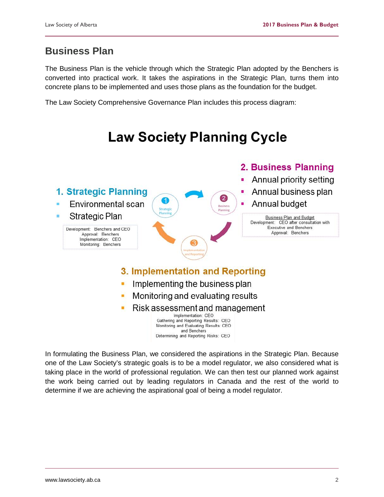### <span id="page-3-0"></span>**Business Plan**

The Business Plan is the vehicle through which the Strategic Plan adopted by the Benchers is converted into practical work. It takes the aspirations in the Strategic Plan, turns them into concrete plans to be implemented and uses those plans as the foundation for the budget.

The Law Society Comprehensive Governance Plan includes this process diagram:

#### **Law Society Planning Cycle** 2. Business Planning Annual priority setting 1. Strategic Planning Annual business plan Annual budget Environmental scan ٠ Strategic Plan Business Plan and Budget Development: CEO after consultation with **Executive and Benchers** Development: Benchers and CEO Approval: Benchers Approval: Benchers Implementation: CEO Monitoring: Benchers 3. Implementation and Reporting Implementing the business plan Monitoring and evaluating results Risk assessment and management Implementation: CEO Gathering and Reporting Results: CEO Monitoring and Evaluating Results: CEO and Benchers Determining and Reporting Risks: CEO

In formulating the Business Plan, we considered the aspirations in the Strategic Plan. Because one of the Law Society's strategic goals is to be a model regulator, we also considered what is taking place in the world of professional regulation. We can then test our planned work against the work being carried out by leading regulators in Canada and the rest of the world to determine if we are achieving the aspirational goal of being a model regulator.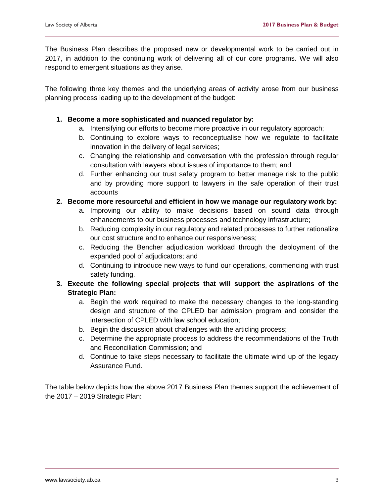The Business Plan describes the proposed new or developmental work to be carried out in 2017, in addition to the continuing work of delivering all of our core programs. We will also respond to emergent situations as they arise.

The following three key themes and the underlying areas of activity arose from our business planning process leading up to the development of the budget:

#### **1. Become a more sophisticated and nuanced regulator by:**

- a. Intensifying our efforts to become more proactive in our regulatory approach;
- b. Continuing to explore ways to reconceptualise how we regulate to facilitate innovation in the delivery of legal services;
- c. Changing the relationship and conversation with the profession through regular consultation with lawyers about issues of importance to them; and
- d. Further enhancing our trust safety program to better manage risk to the public and by providing more support to lawyers in the safe operation of their trust accounts

#### **2. Become more resourceful and efficient in how we manage our regulatory work by:**

- a. Improving our ability to make decisions based on sound data through enhancements to our business processes and technology infrastructure;
- b. Reducing complexity in our regulatory and related processes to further rationalize our cost structure and to enhance our responsiveness;
- c. Reducing the Bencher adjudication workload through the deployment of the expanded pool of adjudicators; and
- d. Continuing to introduce new ways to fund our operations, commencing with trust safety funding.

#### **3. Execute the following special projects that will support the aspirations of the Strategic Plan:**

- a. Begin the work required to make the necessary changes to the long-standing design and structure of the CPLED bar admission program and consider the intersection of CPLED with law school education;
- b. Begin the discussion about challenges with the articling process;
- c. Determine the appropriate process to address the recommendations of the Truth and Reconciliation Commission; and
- d. Continue to take steps necessary to facilitate the ultimate wind up of the legacy Assurance Fund.

The table below depicts how the above 2017 Business Plan themes support the achievement of the 2017 – 2019 Strategic Plan: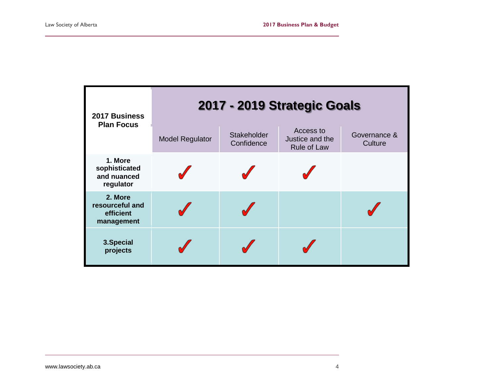| 2017 Business<br><b>Plan Focus</b>                    | 2017 - 2019 Strategic Goals<br>Access to<br>Stakeholder<br>Governance &<br>Justice and the<br><b>Model Regulator</b><br>Confidence<br>Culture<br><b>Rule of Law</b> |  |  |  |  |  |  |  |
|-------------------------------------------------------|---------------------------------------------------------------------------------------------------------------------------------------------------------------------|--|--|--|--|--|--|--|
| 1. More<br>sophisticated<br>and nuanced<br>regulator  |                                                                                                                                                                     |  |  |  |  |  |  |  |
| 2. More<br>resourceful and<br>efficient<br>management |                                                                                                                                                                     |  |  |  |  |  |  |  |
| 3. Special<br>projects                                |                                                                                                                                                                     |  |  |  |  |  |  |  |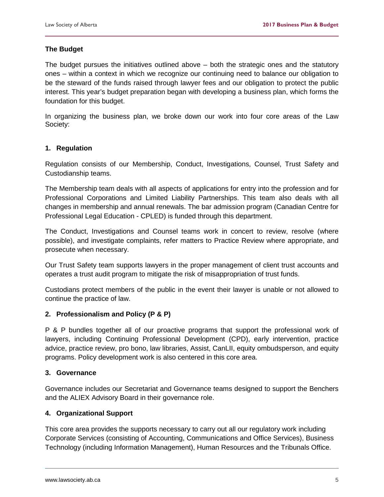#### **The Budget**

The budget pursues the initiatives outlined above  $-$  both the strategic ones and the statutory ones – within a context in which we recognize our continuing need to balance our obligation to be the steward of the funds raised through lawyer fees and our obligation to protect the public interest. This year's budget preparation began with developing a business plan, which forms the foundation for this budget.

In organizing the business plan, we broke down our work into four core areas of the Law Society:

#### **1. Regulation**

Regulation consists of our Membership, Conduct, Investigations, Counsel, Trust Safety and Custodianship teams.

The Membership team deals with all aspects of applications for entry into the profession and for Professional Corporations and Limited Liability Partnerships. This team also deals with all changes in membership and annual renewals. The bar admission program (Canadian Centre for Professional Legal Education - CPLED) is funded through this department.

The Conduct, Investigations and Counsel teams work in concert to review, resolve (where possible), and investigate complaints, refer matters to Practice Review where appropriate, and prosecute when necessary.

Our Trust Safety team supports lawyers in the proper management of client trust accounts and operates a trust audit program to mitigate the risk of misappropriation of trust funds.

Custodians protect members of the public in the event their lawyer is unable or not allowed to continue the practice of law.

#### **2. Professionalism and Policy (P & P)**

P & P bundles together all of our proactive programs that support the professional work of lawyers, including Continuing Professional Development (CPD), early intervention, practice advice, practice review, pro bono, law libraries, Assist, CanLII, equity ombudsperson, and equity programs. Policy development work is also centered in this core area.

#### **3. Governance**

Governance includes our Secretariat and Governance teams designed to support the Benchers and the ALIEX Advisory Board in their governance role.

#### **4. Organizational Support**

This core area provides the supports necessary to carry out all our regulatory work including Corporate Services (consisting of Accounting, Communications and Office Services), Business Technology (including Information Management), Human Resources and the Tribunals Office.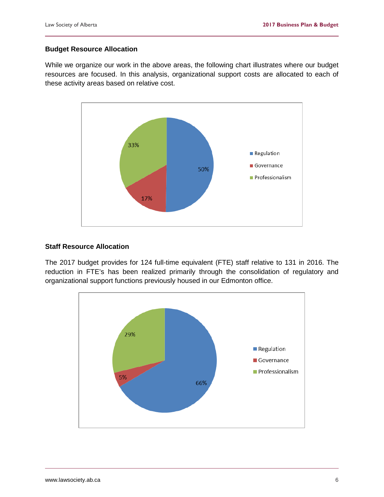#### **Budget Resource Allocation**

While we organize our work in the above areas, the following chart illustrates where our budget resources are focused. In this analysis, organizational support costs are allocated to each of these activity areas based on relative cost.



#### **Staff Resource Allocation**

The 2017 budget provides for 124 full-time equivalent (FTE) staff relative to 131 in 2016. The reduction in FTE's has been realized primarily through the consolidation of regulatory and organizational support functions previously housed in our Edmonton office.

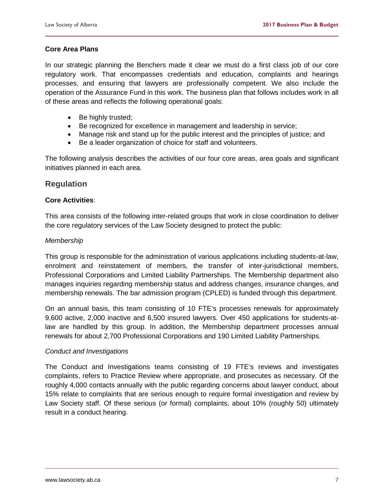#### **Core Area Plans**

In our strategic planning the Benchers made it clear we must do a first class job of our core regulatory work. That encompasses credentials and education, complaints and hearings processes, and ensuring that lawyers are professionally competent. We also include the operation of the Assurance Fund in this work. The business plan that follows includes work in all of these areas and reflects the following operational goals:

- Be highly trusted;
- Be recognized for excellence in management and leadership in service;
- Manage risk and stand up for the public interest and the principles of justice; and
- Be a leader organization of choice for staff and volunteers.

The following analysis describes the activities of our four core areas, area goals and significant initiatives planned in each area.

#### <span id="page-8-0"></span>**Regulation**

#### **Core Activities**:

This area consists of the following inter-related groups that work in close coordination to deliver the core regulatory services of the Law Society designed to protect the public:

#### *Membership*

This group is responsible for the administration of various applications including students-at-law, enrolment and reinstatement of members, the transfer of inter-jurisdictional members, Professional Corporations and Limited Liability Partnerships. The Membership department also manages inquiries regarding membership status and address changes, insurance changes, and membership renewals. The bar admission program (CPLED) is funded through this department.

On an annual basis, this team consisting of 10 FTE's processes renewals for approximately 9,600 active, 2,000 inactive and 6,500 insured lawyers. Over 450 applications for students-atlaw are handled by this group. In addition, the Membership department processes annual renewals for about 2,700 Professional Corporations and 190 Limited Liability Partnerships.

#### *Conduct and Investigations*

The Conduct and Investigations teams consisting of 19 FTE's reviews and investigates complaints, refers to Practice Review where appropriate, and prosecutes as necessary. Of the roughly 4,000 contacts annually with the public regarding concerns about lawyer conduct, about 15% relate to complaints that are serious enough to require formal investigation and review by Law Society staff. Of these serious (or formal) complaints, about 10% (roughly 50) ultimately result in a conduct hearing.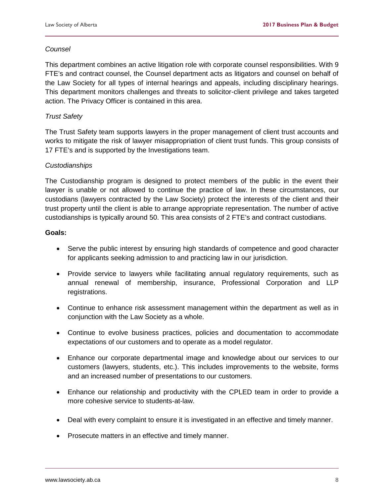#### *Counsel*

This department combines an active litigation role with corporate counsel responsibilities. With 9 FTE's and contract counsel, the Counsel department acts as litigators and counsel on behalf of the Law Society for all types of internal hearings and appeals, including disciplinary hearings. This department monitors challenges and threats to solicitor-client privilege and takes targeted action. The Privacy Officer is contained in this area.

#### *Trust Safety*

The Trust Safety team supports lawyers in the proper management of client trust accounts and works to mitigate the risk of lawyer misappropriation of client trust funds. This group consists of 17 FTE's and is supported by the Investigations team.

#### *Custodianships*

The Custodianship program is designed to protect members of the public in the event their lawyer is unable or not allowed to continue the practice of law. In these circumstances, our custodians (lawyers contracted by the Law Society) protect the interests of the client and their trust property until the client is able to arrange appropriate representation. The number of active custodianships is typically around 50. This area consists of 2 FTE's and contract custodians.

#### **Goals:**

- Serve the public interest by ensuring high standards of competence and good character for applicants seeking admission to and practicing law in our jurisdiction.
- Provide service to lawyers while facilitating annual regulatory requirements, such as annual renewal of membership, insurance, Professional Corporation and LLP registrations.
- Continue to enhance risk assessment management within the department as well as in conjunction with the Law Society as a whole.
- Continue to evolve business practices, policies and documentation to accommodate expectations of our customers and to operate as a model regulator.
- Enhance our corporate departmental image and knowledge about our services to our customers (lawyers, students, etc.). This includes improvements to the website, forms and an increased number of presentations to our customers.
- Enhance our relationship and productivity with the CPLED team in order to provide a more cohesive service to students-at-law.
- Deal with every complaint to ensure it is investigated in an effective and timely manner.
- Prosecute matters in an effective and timely manner.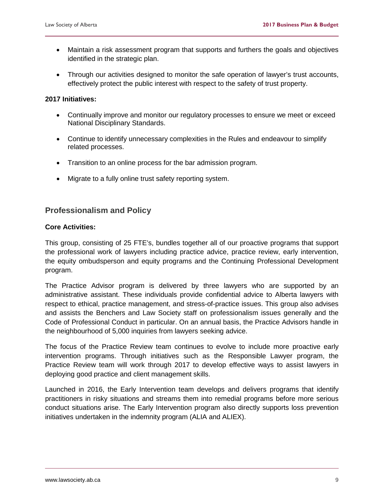- Maintain a risk assessment program that supports and furthers the goals and objectives identified in the strategic plan.
- Through our activities designed to monitor the safe operation of lawyer's trust accounts, effectively protect the public interest with respect to the safety of trust property.

#### **2017 Initiatives:**

- Continually improve and monitor our regulatory processes to ensure we meet or exceed National Disciplinary Standards.
- Continue to identify unnecessary complexities in the Rules and endeavour to simplify related processes.
- Transition to an online process for the bar admission program.
- Migrate to a fully online trust safety reporting system.

#### <span id="page-10-0"></span>**Professionalism and Policy**

#### **Core Activities:**

This group, consisting of 25 FTE's, bundles together all of our proactive programs that support the professional work of lawyers including practice advice, practice review, early intervention, the equity ombudsperson and equity programs and the Continuing Professional Development program.

The Practice Advisor program is delivered by three lawyers who are supported by an administrative assistant. These individuals provide confidential advice to Alberta lawyers with respect to ethical, practice management, and stress-of-practice issues. This group also advises and assists the Benchers and Law Society staff on professionalism issues generally and the Code of Professional Conduct in particular. On an annual basis, the Practice Advisors handle in the neighbourhood of 5,000 inquiries from lawyers seeking advice.

The focus of the Practice Review team continues to evolve to include more proactive early intervention programs. Through initiatives such as the Responsible Lawyer program, the Practice Review team will work through 2017 to develop effective ways to assist lawyers in deploying good practice and client management skills.

Launched in 2016, the Early Intervention team develops and delivers programs that identify practitioners in risky situations and streams them into remedial programs before more serious conduct situations arise. The Early Intervention program also directly supports loss prevention initiatives undertaken in the indemnity program (ALIA and ALIEX).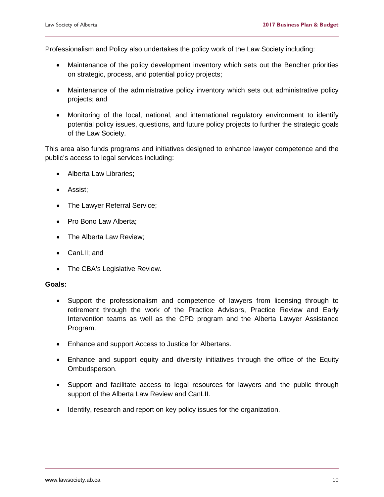Professionalism and Policy also undertakes the policy work of the Law Society including:

- Maintenance of the policy development inventory which sets out the Bencher priorities on strategic, process, and potential policy projects;
- Maintenance of the administrative policy inventory which sets out administrative policy projects; and
- Monitoring of the local, national, and international regulatory environment to identify potential policy issues, questions, and future policy projects to further the strategic goals of the Law Society.

This area also funds programs and initiatives designed to enhance lawyer competence and the public's access to legal services including:

- Alberta Law Libraries;
- Assist;
- The Lawyer Referral Service;
- Pro Bono Law Alberta;
- The Alberta Law Review;
- CanLII; and
- The CBA's Legislative Review.

#### **Goals:**

- Support the professionalism and competence of lawyers from licensing through to retirement through the work of the Practice Advisors, Practice Review and Early Intervention teams as well as the CPD program and the Alberta Lawyer Assistance Program.
- Enhance and support Access to Justice for Albertans.
- Enhance and support equity and diversity initiatives through the office of the Equity Ombudsperson.
- Support and facilitate access to legal resources for lawyers and the public through support of the Alberta Law Review and CanLII.
- Identify, research and report on key policy issues for the organization.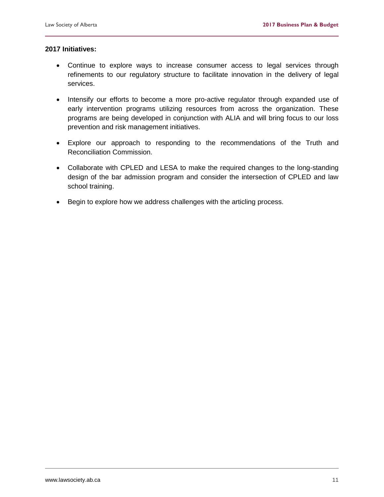#### **2017 Initiatives:**

- Continue to explore ways to increase consumer access to legal services through refinements to our regulatory structure to facilitate innovation in the delivery of legal services.
- Intensify our efforts to become a more pro-active regulator through expanded use of early intervention programs utilizing resources from across the organization. These programs are being developed in conjunction with ALIA and will bring focus to our loss prevention and risk management initiatives.
- Explore our approach to responding to the recommendations of the Truth and Reconciliation Commission.
- Collaborate with CPLED and LESA to make the required changes to the long-standing design of the bar admission program and consider the intersection of CPLED and law school training.
- Begin to explore how we address challenges with the articling process.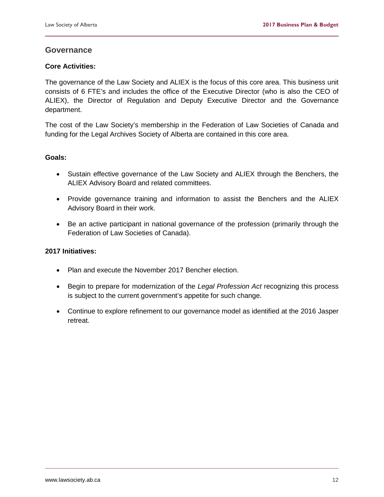#### <span id="page-13-0"></span>**Governance**

#### **Core Activities:**

The governance of the Law Society and ALIEX is the focus of this core area. This business unit consists of 6 FTE's and includes the office of the Executive Director (who is also the CEO of ALIEX), the Director of Regulation and Deputy Executive Director and the Governance department.

The cost of the Law Society's membership in the Federation of Law Societies of Canada and funding for the Legal Archives Society of Alberta are contained in this core area.

#### **Goals:**

- Sustain effective governance of the Law Society and ALIEX through the Benchers, the ALIEX Advisory Board and related committees.
- Provide governance training and information to assist the Benchers and the ALIEX Advisory Board in their work.
- Be an active participant in national governance of the profession (primarily through the Federation of Law Societies of Canada).

#### **2017 Initiatives:**

- Plan and execute the November 2017 Bencher election.
- Begin to prepare for modernization of the *Legal Profession Act* recognizing this process is subject to the current government's appetite for such change.
- Continue to explore refinement to our governance model as identified at the 2016 Jasper retreat.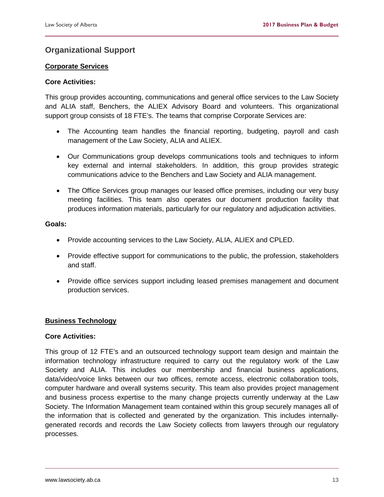### <span id="page-14-0"></span>**Organizational Support**

#### **Corporate Services**

#### **Core Activities:**

This group provides accounting, communications and general office services to the Law Society and ALIA staff, Benchers, the ALIEX Advisory Board and volunteers. This organizational support group consists of 18 FTE's. The teams that comprise Corporate Services are:

- The Accounting team handles the financial reporting, budgeting, payroll and cash management of the Law Society, ALIA and ALIEX.
- Our Communications group develops communications tools and techniques to inform key external and internal stakeholders. In addition, this group provides strategic communications advice to the Benchers and Law Society and ALIA management.
- The Office Services group manages our leased office premises, including our very busy meeting facilities. This team also operates our document production facility that produces information materials, particularly for our regulatory and adjudication activities.

#### **Goals:**

- Provide accounting services to the Law Society, ALIA, ALIEX and CPLED.
- Provide effective support for communications to the public, the profession, stakeholders and staff.
- Provide office services support including leased premises management and document production services.

#### **Business Technology**

#### **Core Activities:**

This group of 12 FTE's and an outsourced technology support team design and maintain the information technology infrastructure required to carry out the regulatory work of the Law Society and ALIA. This includes our membership and financial business applications, data/video/voice links between our two offices, remote access, electronic collaboration tools, computer hardware and overall systems security. This team also provides project management and business process expertise to the many change projects currently underway at the Law Society. The Information Management team contained within this group securely manages all of the information that is collected and generated by the organization. This includes internallygenerated records and records the Law Society collects from lawyers through our regulatory processes.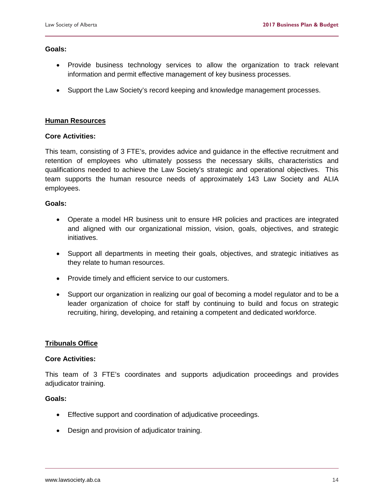#### **Goals:**

- Provide business technology services to allow the organization to track relevant information and permit effective management of key business processes.
- Support the Law Society's record keeping and knowledge management processes.

#### **Human Resources**

#### **Core Activities:**

This team, consisting of 3 FTE's, provides advice and guidance in the effective recruitment and retention of employees who ultimately possess the necessary skills, characteristics and qualifications needed to achieve the Law Society's strategic and operational objectives. This team supports the human resource needs of approximately 143 Law Society and ALIA employees.

#### **Goals:**

- Operate a model HR business unit to ensure HR policies and practices are integrated and aligned with our organizational mission, vision, goals, objectives, and strategic initiatives.
- Support all departments in meeting their goals, objectives, and strategic initiatives as they relate to human resources.
- Provide timely and efficient service to our customers.
- Support our organization in realizing our goal of becoming a model regulator and to be a leader organization of choice for staff by continuing to build and focus on strategic recruiting, hiring, developing, and retaining a competent and dedicated workforce.

#### **Tribunals Office**

#### **Core Activities:**

This team of 3 FTE's coordinates and supports adjudication proceedings and provides adjudicator training.

#### **Goals:**

- Effective support and coordination of adjudicative proceedings.
- Design and provision of adjudicator training.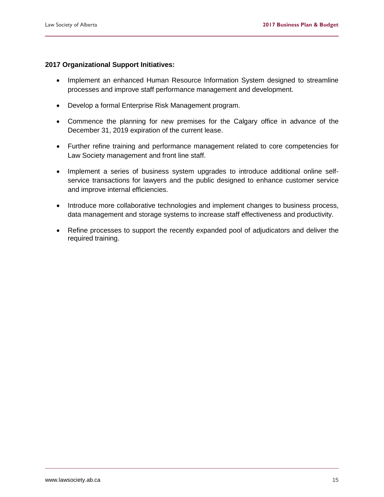#### **2017 Organizational Support Initiatives:**

- Implement an enhanced Human Resource Information System designed to streamline processes and improve staff performance management and development.
- Develop a formal Enterprise Risk Management program.
- Commence the planning for new premises for the Calgary office in advance of the December 31, 2019 expiration of the current lease.
- Further refine training and performance management related to core competencies for Law Society management and front line staff.
- Implement a series of business system upgrades to introduce additional online selfservice transactions for lawyers and the public designed to enhance customer service and improve internal efficiencies.
- Introduce more collaborative technologies and implement changes to business process, data management and storage systems to increase staff effectiveness and productivity.
- Refine processes to support the recently expanded pool of adjudicators and deliver the required training.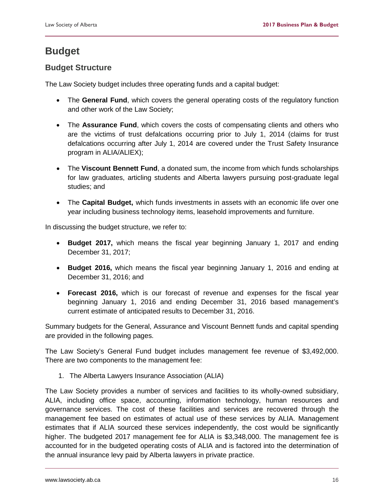# <span id="page-17-0"></span>**Budget**

#### <span id="page-17-1"></span>**Budget Structure**

The Law Society budget includes three operating funds and a capital budget:

- The **General Fund**, which covers the general operating costs of the regulatory function and other work of the Law Society;
- The **Assurance Fund**, which covers the costs of compensating clients and others who are the victims of trust defalcations occurring prior to July 1, 2014 (claims for trust defalcations occurring after July 1, 2014 are covered under the Trust Safety Insurance program in ALIA/ALIEX);
- The **Viscount Bennett Fund**, a donated sum, the income from which funds scholarships for law graduates, articling students and Alberta lawyers pursuing post-graduate legal studies; and
- The **Capital Budget,** which funds investments in assets with an economic life over one year including business technology items, leasehold improvements and furniture.

In discussing the budget structure, we refer to:

- **Budget 2017,** which means the fiscal year beginning January 1, 2017 and ending December 31, 2017;
- **Budget 2016,** which means the fiscal year beginning January 1, 2016 and ending at December 31, 2016; and
- **Forecast 2016,** which is our forecast of revenue and expenses for the fiscal year beginning January 1, 2016 and ending December 31, 2016 based management's current estimate of anticipated results to December 31, 2016.

Summary budgets for the General, Assurance and Viscount Bennett funds and capital spending are provided in the following pages.

The Law Society's General Fund budget includes management fee revenue of \$3,492,000. There are two components to the management fee:

1. The Alberta Lawyers Insurance Association (ALIA)

The Law Society provides a number of services and facilities to its wholly-owned subsidiary, ALIA, including office space, accounting, information technology, human resources and governance services. The cost of these facilities and services are recovered through the management fee based on estimates of actual use of these services by ALIA. Management estimates that if ALIA sourced these services independently, the cost would be significantly higher. The budgeted 2017 management fee for ALIA is \$3,348,000. The management fee is accounted for in the budgeted operating costs of ALIA and is factored into the determination of the annual insurance levy paid by Alberta lawyers in private practice.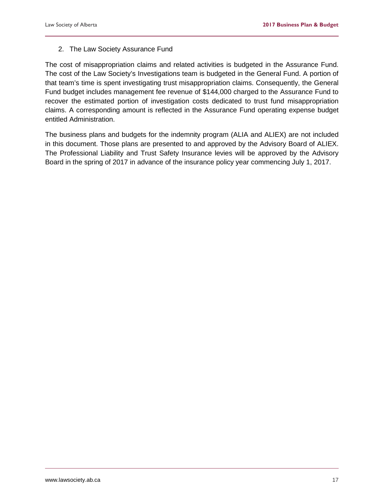#### 2. The Law Society Assurance Fund

The cost of misappropriation claims and related activities is budgeted in the Assurance Fund. The cost of the Law Society's Investigations team is budgeted in the General Fund. A portion of that team's time is spent investigating trust misappropriation claims. Consequently, the General Fund budget includes management fee revenue of \$144,000 charged to the Assurance Fund to recover the estimated portion of investigation costs dedicated to trust fund misappropriation claims. A corresponding amount is reflected in the Assurance Fund operating expense budget entitled Administration.

The business plans and budgets for the indemnity program (ALIA and ALIEX) are not included in this document. Those plans are presented to and approved by the Advisory Board of ALIEX. The Professional Liability and Trust Safety Insurance levies will be approved by the Advisory Board in the spring of 2017 in advance of the insurance policy year commencing July 1, 2017.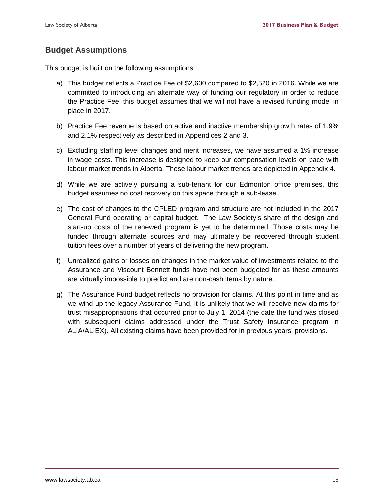#### <span id="page-19-0"></span>**Budget Assumptions**

This budget is built on the following assumptions:

- a) This budget reflects a Practice Fee of \$2,600 compared to \$2,520 in 2016. While we are committed to introducing an alternate way of funding our regulatory in order to reduce the Practice Fee, this budget assumes that we will not have a revised funding model in place in 2017.
- b) Practice Fee revenue is based on active and inactive membership growth rates of 1.9% and 2.1% respectively as described in Appendices 2 and 3.
- c) Excluding staffing level changes and merit increases, we have assumed a 1% increase in wage costs. This increase is designed to keep our compensation levels on pace with labour market trends in Alberta. These labour market trends are depicted in Appendix 4.
- d) While we are actively pursuing a sub-tenant for our Edmonton office premises, this budget assumes no cost recovery on this space through a sub-lease.
- e) The cost of changes to the CPLED program and structure are not included in the 2017 General Fund operating or capital budget. The Law Society's share of the design and start-up costs of the renewed program is yet to be determined. Those costs may be funded through alternate sources and may ultimately be recovered through student tuition fees over a number of years of delivering the new program.
- f) Unrealized gains or losses on changes in the market value of investments related to the Assurance and Viscount Bennett funds have not been budgeted for as these amounts are virtually impossible to predict and are non-cash items by nature.
- g) The Assurance Fund budget reflects no provision for claims. At this point in time and as we wind up the legacy Assurance Fund, it is unlikely that we will receive new claims for trust misappropriations that occurred prior to July 1, 2014 (the date the fund was closed with subsequent claims addressed under the Trust Safety Insurance program in ALIA/ALIEX). All existing claims have been provided for in previous years' provisions.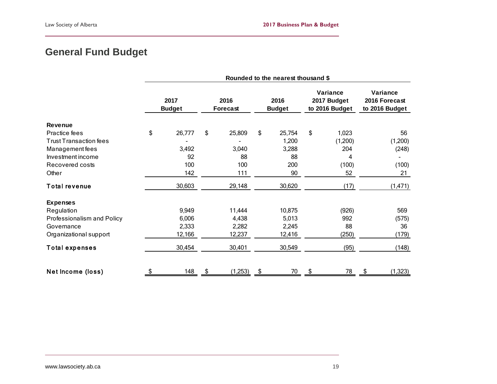# **General Fund Budget**

<span id="page-20-0"></span>

|                               | Rounded to the nearest thousand \$ |        |                  |         |                       |        |                                           |         |  |                                             |
|-------------------------------|------------------------------------|--------|------------------|---------|-----------------------|--------|-------------------------------------------|---------|--|---------------------------------------------|
|                               | 2017<br><b>Budget</b>              |        | 2016<br>Forecast |         | 2016<br><b>Budget</b> |        | Variance<br>2017 Budget<br>to 2016 Budget |         |  | Variance<br>2016 Forecast<br>to 2016 Budget |
| <b>Revenue</b>                |                                    |        |                  |         |                       |        |                                           |         |  |                                             |
| Practice fees                 | \$                                 | 26,777 | \$               | 25,809  | \$                    | 25,754 | \$                                        | 1,023   |  | 56                                          |
| <b>Trust Transaction fees</b> |                                    |        |                  |         |                       | 1,200  |                                           | (1,200) |  | (1,200)                                     |
| Management fees               |                                    | 3,492  |                  | 3,040   |                       | 3,288  |                                           | 204     |  | (248)                                       |
| Investment income             |                                    | 92     |                  | 88      |                       | 88     |                                           | 4       |  |                                             |
| Recovered costs               |                                    | 100    |                  | 100     |                       | 200    |                                           | (100)   |  | (100)                                       |
| Other                         |                                    | 142    |                  | 111     |                       | 90     |                                           | 52      |  | 21                                          |
| <b>Total revenue</b>          |                                    | 30,603 |                  | 29,148  |                       | 30,620 |                                           | (17)    |  | (1, 471)                                    |
| <b>Expenses</b>               |                                    |        |                  |         |                       |        |                                           |         |  |                                             |
| Regulation                    |                                    | 9,949  |                  | 11,444  |                       | 10,875 |                                           | (926)   |  | 569                                         |
| Professionalism and Policy    |                                    | 6,006  |                  | 4,438   |                       | 5,013  |                                           | 992     |  | (575)                                       |
| Governance                    |                                    | 2,333  |                  | 2,282   |                       | 2,245  |                                           | 88      |  | 36                                          |
| Organizational support        |                                    | 12,166 |                  | 12,237  |                       | 12,416 |                                           | (250)   |  | (179)                                       |
| <b>Total expenses</b>         |                                    | 30,454 |                  | 30,401  |                       | 30,549 |                                           | (95)    |  | (148)                                       |
| Net Income (loss)             | S                                  | 148    |                  | (1,253) | \$                    | 70     | \$                                        | 78      |  | (1, 323)                                    |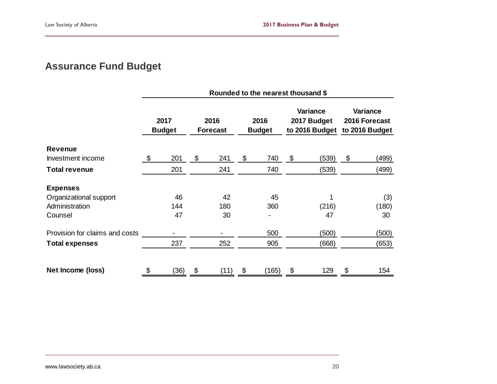# **Assurance Fund Budget**

<span id="page-21-0"></span>

|                                |                       |      |                         | Rounded to the nearest thousand \$ |                       |       |                                                  |       |                                             |
|--------------------------------|-----------------------|------|-------------------------|------------------------------------|-----------------------|-------|--------------------------------------------------|-------|---------------------------------------------|
|                                | 2017<br><b>Budget</b> |      | 2016<br><b>Forecast</b> |                                    | 2016<br><b>Budget</b> |       | <b>Variance</b><br>2017 Budget<br>to 2016 Budget |       | Variance<br>2016 Forecast<br>to 2016 Budget |
| <b>Revenue</b>                 |                       |      |                         |                                    |                       |       |                                                  |       |                                             |
| Investment income              | \$                    | 201  | \$                      | 241                                | \$                    | 740   | \$                                               | (539) | \$<br>(499)                                 |
| <b>Total revenue</b>           |                       | 201  |                         | 241                                |                       | 740   |                                                  | (539) | (499)                                       |
| <b>Expenses</b>                |                       |      |                         |                                    |                       |       |                                                  |       |                                             |
| Organizational support         |                       | 46   |                         | 42                                 |                       | 45    |                                                  |       | (3)                                         |
| Administration                 |                       | 144  |                         | 180                                |                       | 360   |                                                  | (216) | (180)                                       |
| Counsel                        |                       | 47   |                         | 30                                 |                       |       |                                                  | 47    | 30                                          |
| Provision for claims and costs |                       |      |                         |                                    |                       | 500   |                                                  | (500) | (500)                                       |
| Total expenses                 |                       | 237  |                         | 252                                |                       | 905   |                                                  | (668) | (653)                                       |
| Net Income (loss)              | \$                    | (36) | \$                      | (11)                               | \$                    | (165) | \$                                               | 129   | \$<br>154                                   |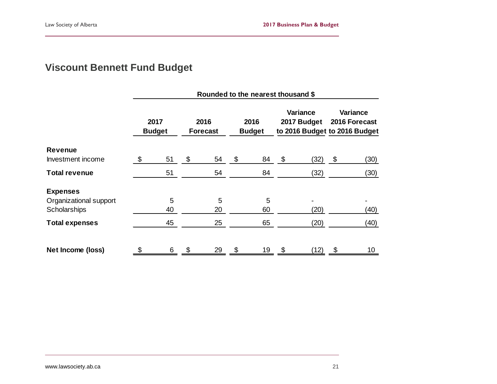# **Viscount Bennett Fund Budget**

<span id="page-22-0"></span>

|                        | Rounded to the nearest thousand \$ |                       |                           |                         |    |                       |    |                                                          |    |                           |  |
|------------------------|------------------------------------|-----------------------|---------------------------|-------------------------|----|-----------------------|----|----------------------------------------------------------|----|---------------------------|--|
|                        |                                    | 2017<br><b>Budget</b> |                           | 2016<br><b>Forecast</b> |    | 2016<br><b>Budget</b> |    | Variance<br>2017 Budget<br>to 2016 Budget to 2016 Budget |    | Variance<br>2016 Forecast |  |
| <b>Revenue</b>         |                                    |                       |                           |                         |    |                       |    |                                                          |    |                           |  |
| Investment income      | \$.                                | 51                    | \$                        | 54                      | \$ | 84                    | \$ | (32)                                                     | \$ | (30)                      |  |
| <b>Total revenue</b>   |                                    | 51                    |                           | 54                      |    | 84                    |    | (32)                                                     |    | (30)                      |  |
| <b>Expenses</b>        |                                    |                       |                           |                         |    |                       |    |                                                          |    |                           |  |
| Organizational support |                                    | 5                     |                           | 5                       |    | 5                     |    |                                                          |    |                           |  |
| Scholarships           |                                    | 40                    |                           | 20                      |    | 60                    |    | (20)                                                     |    | (40)                      |  |
| <b>Total expenses</b>  |                                    | 45                    |                           | 25                      |    | 65                    |    | (20)                                                     |    | (40)                      |  |
| Net Income (loss)      |                                    | 6                     | $\boldsymbol{\mathsf{S}}$ | 29                      | \$ | 19                    | \$ | (12)                                                     | \$ | 10                        |  |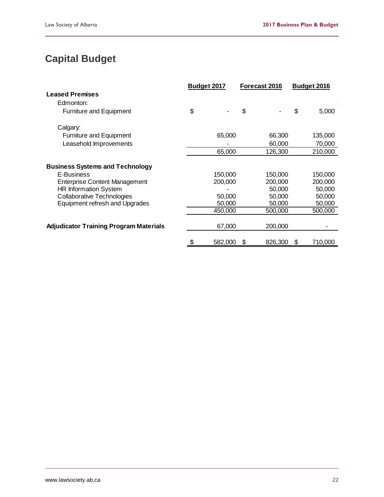# <span id="page-23-0"></span>**Capital Budget**

|                                                                   | Budget 2017 |         |    | Forecast 2016    |    | Budget 2016      |
|-------------------------------------------------------------------|-------------|---------|----|------------------|----|------------------|
| <b>Leased Premises</b>                                            |             |         |    |                  |    |                  |
| Edmonton:                                                         |             |         |    |                  |    |                  |
| <b>Furniture and Equipment</b>                                    | \$          |         | \$ |                  | \$ | 5,000            |
| Calgary:                                                          |             |         |    |                  |    |                  |
| <b>Furniture and Equipment</b>                                    |             | 65,000  |    | 66,300           |    | 135,000          |
| Leasehold Improvements                                            |             |         |    | 60,000           |    | 70,000           |
|                                                                   |             | 65,000  |    | 126,300          |    | 210,000          |
| <b>Business Systems and Technology</b>                            |             |         |    |                  |    |                  |
| E-Business                                                        |             | 150,000 |    | 150,000          |    | 150,000          |
| <b>Enterprise Content Management</b>                              |             | 200,000 |    | 200,000          |    | 200,000          |
| <b>HR Information System</b><br><b>Collaborative Technologies</b> |             | 50,000  |    | 50,000<br>50,000 |    | 50,000<br>50,000 |
| Equipment refresh and Upgrades                                    |             | 50,000  |    | 50,000           |    | 50,000           |
|                                                                   |             | 450,000 |    | 500,000          |    | 500,000          |
| <b>Adjudicator Training Program Materials</b>                     |             | 67,000  |    | 200,000          |    |                  |
|                                                                   |             | 582,000 | S  | 826,300          | S  | 710,000          |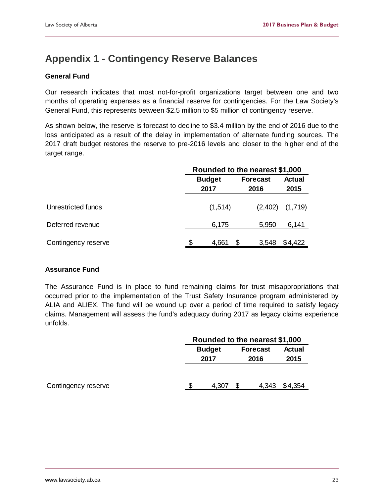# <span id="page-24-0"></span>**Appendix 1 - Contingency Reserve Balances**

#### **General Fund**

Our research indicates that most not-for-profit organizations target between one and two months of operating expenses as a financial reserve for contingencies. For the Law Society's General Fund, this represents between \$2.5 million to \$5 million of contingency reserve.

As shown below, the reserve is forecast to decline to \$3.4 million by the end of 2016 due to the loss anticipated as a result of the delay in implementation of alternate funding sources. The 2017 draft budget restores the reserve to pre-2016 levels and closer to the higher end of the target range.

|                     | Rounded to the nearest \$1,000 |                         |                       |  |  |  |  |  |  |
|---------------------|--------------------------------|-------------------------|-----------------------|--|--|--|--|--|--|
|                     | <b>Budget</b><br>2017          | <b>Forecast</b><br>2016 | <b>Actual</b><br>2015 |  |  |  |  |  |  |
| Unrestricted funds  | (1,514)                        | (2,402)                 | (1,719)               |  |  |  |  |  |  |
| Deferred revenue    | 6,175                          | 5,950                   | 6,141                 |  |  |  |  |  |  |
| Contingency reserve | 4,661                          | \$<br>3,548             | \$4,422               |  |  |  |  |  |  |

#### **Assurance Fund**

The Assurance Fund is in place to fund remaining claims for trust misappropriations that occurred prior to the implementation of the Trust Safety Insurance program administered by ALIA and ALIEX. The fund will be wound up over a period of time required to satisfy legacy claims. Management will assess the fund's adequacy during 2017 as legacy claims experience unfolds.

|                     | Rounded to the nearest \$1,000 |       |  |                 |               |  |  |  |
|---------------------|--------------------------------|-------|--|-----------------|---------------|--|--|--|
|                     | <b>Budget</b>                  |       |  | <b>Forecast</b> | <b>Actual</b> |  |  |  |
|                     | 2017                           |       |  | 2016            | 2015          |  |  |  |
|                     |                                |       |  |                 |               |  |  |  |
| Contingency reserve |                                | 4,307 |  | 4,343           | \$4,354       |  |  |  |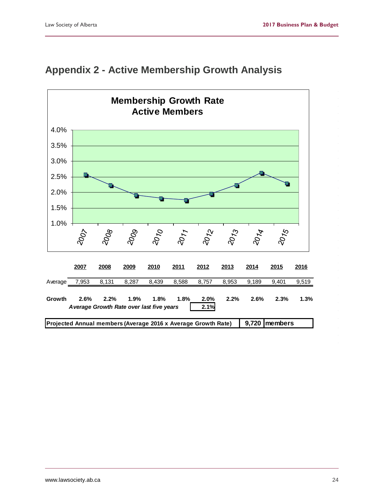

### <span id="page-25-0"></span>**Appendix 2 - Active Membership Growth Analysis**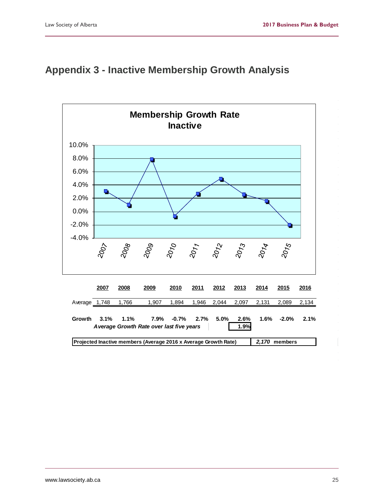# <span id="page-26-0"></span>**Appendix 3 - Inactive Membership Growth Analysis**

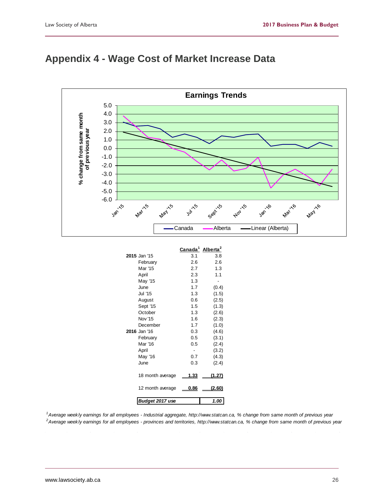

# <span id="page-27-0"></span>**Appendix 4 - Wage Cost of Market Increase Data**

|                  | Canada <sup>1</sup> Alberta <sup>2</sup> |        |
|------------------|------------------------------------------|--------|
| 2015 Jan '15     | 3.1                                      | 3.8    |
| February         | 2.6                                      | 2.6    |
| Mar '15          | 2.7                                      | 1.3    |
| April            | 2.3                                      | 1.1    |
| May '15          | 1.3                                      |        |
| June             | 1.7                                      | (0.4)  |
| <b>Jul '15</b>   | 1.3                                      | (1.5)  |
| August           | 0.6                                      | (2.5)  |
| Sept '15         | 1.5                                      | (1.3)  |
| October          | 1.3                                      | (2.6)  |
| <b>Nov '15</b>   | 1.6                                      | (2.3)  |
| December         | 1.7                                      | (1.0)  |
| 2016 Jan '16     | 0.3                                      | (4.6)  |
| February         | 0.5                                      | (3.1)  |
| Mar '16          | 0.5                                      | (2.4)  |
| April            |                                          | (3.2)  |
| May '16          | 0.7                                      | (4.3)  |
| June             | 0.3                                      | (2.4)  |
| 18 month average | 1.33                                     | (1.27) |
| 12 month average | 0.86                                     | (2.60) |
| Budget 2017 use  |                                          | 1.00   |

<sup>1</sup> Average weekly earnings for all employees - Industrial aggregate, http://www.statcan.ca, % change from same month of previous year *2 Average weekly earnings for all employees - provinces and territories, http://www.statcan.ca, % change from same month of previous year*